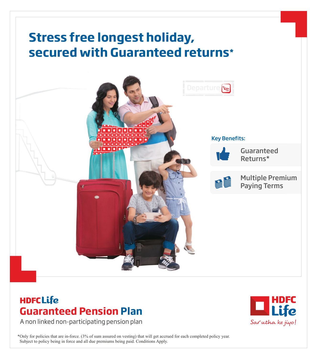

# **HDFCLife Guaranteed Pension Plan**

A non linked non-participating pension plan

\*Only for policies that are in-force. (3% of sum assured on vesting) that will get accrued for each completed policy year. Subject to policy being in force and all due premiums being paid. Conditions Apply.

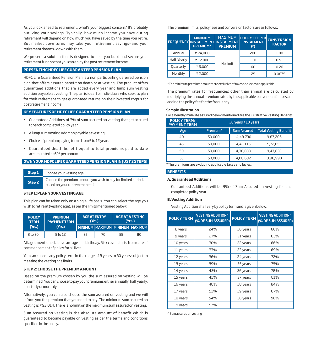As you look ahead to retirement, what's your biggest concern? It's probably outliving your savings. Typically, how much income you have during retirement will depend on how much you have saved by the time you retire. But market downturns may take your retirement savings—and your retirement dreams—down with them.

We present a solution that is designed to help you build and secure your retirement fund so that you can enjoy the post retirement income.

# **PRESENTING HDFCLIFEGUARANTEEDPENSIONPLAN**

HDFC Life Guaranteed Pension Plan is a non participating deferred pension plan that offers assured benefit on death or at vesting. The product offers guaranteed additions that are added every year and lump sum vesting addition payable at vesting. The plan is ideal for individuals who seek to plan for their retirement to get guaranteed returns on their invested corpus for post retirement income.

# **KEYFEATURESOF HDFCLIFEGUARANTEEDPENSIONPLAN**

- § Guaranteed Additions of 3% of sum assured on vesting that get accrued for each completed policy year
- § A lump sum Vesting Addition payable at vesting
- § Choice of premium paying terms from 5 to 12 years
- § Guaranteed death benefit equal to total premiums paid to date accumulated at 6% per annum

#### **OWNYOUR HDFCLIFEGUARANTEEDPENSIONPLANINJUST2 STEPS!**

| Step 1 | Choose your vesting age                                                                         |
|--------|-------------------------------------------------------------------------------------------------|
| Step 2 | Choose the premium amount you wish to pay for limited period,<br>based on your retirement needs |

### **STEP1: PLANYOURVESTINGAGE**

This plan can be taken only on a single life basis. You can select the age you wish to retire at (vesting age), as per the limits mentioned below:

| <b>POLICY</b><br><b>TERM</b> | <b>PREMIUM</b><br><b>PAYMENT TERM</b> | <b>AGE AT ENTRY</b> | (Yrs.) | <b>AGE AT VESTING</b><br>(Yrs.) |                                       |  |  |  |
|------------------------------|---------------------------------------|---------------------|--------|---------------------------------|---------------------------------------|--|--|--|
| (Yrs.)                       | (Yrs.)                                |                     |        |                                 | MINIMUM   MAXIMUM   MINIMUM   MUMIMIM |  |  |  |
| 8 to 30                      | 5 to 12                               | 35                  | 70     | 55                              | 80                                    |  |  |  |

All ages mentioned above are age last birthday. Risk cover starts from date of commencement of policy for all lives.

You can choose any policy term in the range of 8 years to 30 years subject to meeting the vesting age limits.

#### **STEP2: CHOOSETHEPREMIUMAMOUNT**

Based on the premium chosen by you the sum assured on vesting will be determined. You can choose to pay your premiums either annually, half yearly, quarterly or monthly.

Alternatively, you can also choose the sum assured on vesting and we will inform you the premium that you need to pay. The minimum sum assured on vesting is ₹92,014. There is no limit on the maximum sum assured on vesting.

Sum Assured on vesting is the absolute amount of benefit which is guaranteed to become payable on vesting as per the terms and conditions specified in the policy.

The premium limits, policy fees and conversion factors are as follows:

|             | <b>MINIMUM</b><br><b>FREQUENCY INSTALLMENT INSTALMENT</b><br><b>PREMIUM*</b> | <b>MAXIMUM</b><br><b>PREMIUM</b> | <b>POLICY FEE PER</b><br><b>INSTALMENT</b><br>(3) | <b>CONVERSION</b><br><b>FACTOR</b> |
|-------------|------------------------------------------------------------------------------|----------------------------------|---------------------------------------------------|------------------------------------|
| Annual      | ₹ 24,000                                                                     |                                  | 200                                               | 1.00                               |
| Half-Yearly | ₹12,000                                                                      | No limit                         | 110                                               | 0.51                               |
| Quarterly   | ₹6,000                                                                       |                                  | 60                                                | 0.26                               |
| Monthly     | ₹2,000                                                                       |                                  | 25                                                | 0.0875                             |

\*The minimum premium amounts are exclusive of taxes and levies as applicable.

The premium rates for frequencies other than annual are calculated by multiplying the annual premium rates by the applicable conversion factors and adding the policy fee for the frequency.

#### Sample Illustration

For a healthy male life assured below mentioned are the illustrative Vesting Benefits

| <b>POLICY TERM/</b><br><b>PAYMENT TERM</b> | 20 years / 10 years |                    |                       |  |  |  |  |  |  |  |
|--------------------------------------------|---------------------|--------------------|-----------------------|--|--|--|--|--|--|--|
| Age                                        | Premium*            | <b>Sum Assured</b> | Total Vesting Benefit |  |  |  |  |  |  |  |
| 40                                         | 50,000              | 4,48,730           | 9,87,206              |  |  |  |  |  |  |  |
| 45                                         | 50,000              | 4,42,116           | 9,72,655              |  |  |  |  |  |  |  |
| 50                                         | 50,000              | 4,30,833           | 9,47,833              |  |  |  |  |  |  |  |
| 55                                         | 50,000              | 4,08,632           | 8,98,990              |  |  |  |  |  |  |  |

\*The premiums are excluding applicable taxes and levies.

### **BENEFITS**

### **A. Guaranteed Additions**

Guaranteed Additions will be 3% of Sum Assured on vesting for each completed policy year.

## **B. Vesting Addition**

Vesting Addition shall vary by policy term and is given below:

| <b>POLICY TERM</b> | <b>VESTING ADDITION^</b><br>(% OF SUM ASSURED) | <b>POLICY TERM</b> | <b>VESTING ADDITION^</b><br>(% OF SUM ASSURED) |
|--------------------|------------------------------------------------|--------------------|------------------------------------------------|
| 8 years            | 24%                                            | 20 years           | 60%                                            |
| 9 years            | 27%                                            | 21 years           | 63%                                            |
| 10 years           | 30%                                            | 22 years           | 66%                                            |
| 11 years           | 33%                                            | 23 years           | 69%                                            |
| 12 years           | 36%                                            | 24 years           | 72%                                            |
| 13 years           | 39%                                            | 25 years           | 75%                                            |
| 14 years           | 42%                                            | 26 years           | 78%                                            |
| 15 years           | 45%                                            | 27 years           | 81%                                            |
| 16 years           | 48%                                            | 28 years           | 84%                                            |
| 17 years           | 51%                                            | 29 years           | 87%                                            |
| 18 years           | 54%                                            | 30 years           | 90%                                            |
| 19 years           | 57%                                            |                    |                                                |

^ Sum assured on vesting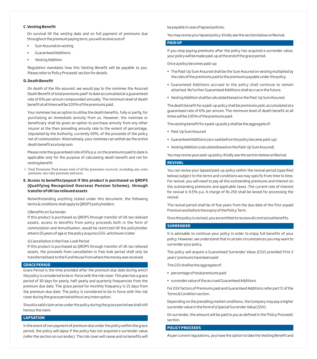## **C. Vesting Benefit**

On survival till the vesting date and on full payment of premiums due throughout the premium paying term, you will receive sum of

- § Sum Assured on vesting
- § Guaranteed Additions
- § Vesting Addition

Regulation mandates how this Vesting Benefit will be payable to you. Please refer to 'Policy Proceeds' section for details.

## **D. Death Benefit**

On death of the life assured, we would pay to the nominee the Assured Death Benefit of total premiums paid<sup>1</sup> to date accumulated at a quaranteed rate of 6% per annum compounded annually. The minimum level of death benefit at all times will be 105% of the premiums paid.

Your nominee has an option to utilise the death benefits, fully or partly, for purchasing an immediate annuity from us. However, the nominee or beneficiary shall be given an option to purchase annuity from any other insurer at the then prevailing annuity rate to the extent of percentage, stipulated by the Authority, currently 50%, of the proceeds of the policy net of commutation. Alternatively, your nominee can withdraw the entire death benefit as a lump sum.

Please note the guaranteed rate of 6% p.a. on the premiums paid to date is applicable only for the purpose of calculating death benefit and not for vesting benefit.

1. Total Premiums Paid means total of all the premiums received, excluding any extra premium, any rider premium and taxes.

# **E. Access to benefits/payout if this product is purchased as QROPS (Qualifying Recognized Overseas Pension Scheme), through transfer of UKtax relieved assets**

Notwithstanding anything stated under this document, the following terms & conditions shall apply to QROPS policyholders:

#### i) Benefits on Surrender

If this product is purchased as QROPS through transfer of UK tax relieved assets, access to benefits from policy proceeds both in the form of commutation and Annuitisation, would be restricted till the policyholder attains 55 years of age or the policy acquires GSV, whichever is later

#### ii) Cancellation in the Free-Look Period

If this product is purchased as QROPS through transfer of UK tax relieved assets, the proceeds from cancellation in free look period shall only be transferred back to the Fund House from where the money was received.

#### **GRACEPERIOD**

Grace Period is the time provided after the premium due date during which the policy is considered to be in-force with the risk cover. This plan has a grace period of 30 days for yearly, half-yearly and quarterly frequencies from the premium due date. The grace period for monthly frequency is 15 days from the premium due date. The policy is considered to be in-force with the risk cover during the grace period without any interruption.

Should a valid claim arise under the policy during the grace period we shall still honour the claim.

# **LAPSATION**

In the event of non payment of premium due under the policy within the grace period, the policy will lapse if the policy has not acquired a surrender value (refer the section on surrender). The risk cover will cease and no benefits will be payable in case of lapsed policies.

You may revive your lapsed policy. Kindly see the section below on Revival.

## **PAIDUP**

If you stop paying premiums after the policy has acquired a surrender value, your policy will be made paid-up at the end of the grace period.

Once a policy becomes paid-up:

- § The Paid-Up Sum Assured shall be the Sum Assured on vesting multiplied by the ratio of the premiums paid to the premiums payable under the policy.
- § Guaranteed Additions accrued to the policy shall continue to remain attached. No further Guaranteed Additions shall accrue in the future.
- § Vesting Addition shall be calculated based on the Paid-Up Sum Assured.

The death benefit for a paid-up policy shall be premiums paid, accumulated at a guaranteed rate of 6% per annum. The minimum level of death benefit at all times will be 105% of the premiums paid.

The vesting benefit for a paid-up policy shall be the aggregate of:

- § Paid-Up Sum Assured
- § Guaranteed Additions (accrued before the policy became paid-up)
- § Vesting Addition (calculated based on the Paid-Up Sum Assured)

You may revive your paid-up policy. Kindly see the section below on Revival.

#### **REVIVAL**

You can revive your lapsed/paid-up policy within the revival period (specified below) subject to the terms and conditions we may specify from time to time. For revival, you will need to pay all the outstanding premiums and interest on the outstanding premiums and applicable taxes. The current rate of interest for revival is 9.5% p.a. A charge of Rs 250 shall be levied for processing the revival.

The revival period shall be of five years from the due date of the first unpaid Premium and before the expiry of the Policy Term.

Once the policy is revived, you are entitled to receive all contractual benefits.

#### **SURRENDER**

It is advisable to continue your policy in order to enjoy full benefits of your policy. However, we understand that in certain circumstances you may want to surrender your policy.

The policy will acquire a Guaranteed Surrender Value (GSV) provided First 2 years' premiums have been paid

The GSV shall be the aggregate of:

- § percentage of total premiums paid
- § surrender value of the accrued Guaranteed Additions

For GSV factors of Premiums paid and Guaranteed Additions refer part 'G' of the Terms & Condition section.

Depending on the prevailing market conditions, the Company may pay a higher surrender value in the form of a Special Surrender Value (SSV).

On surrender, the amount will be paid to you as defined in the 'Policy Proceeds' section.

## **POLICYPROCEEDS**

As per current regulations, you have the option to take the Vesting Benefit and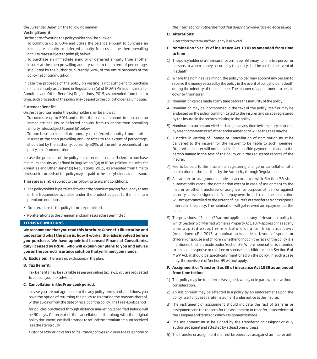the Surrender Benefit in the following manner: Vesting Benefit:

On the date of vesting the policyholder shall be allowed:

- i. To commute up to 60% and utilize the balance amount to purchase an immediate annuity or deferred annuity from us at the then prevailing annuity rates subject to point (ii) below.
- ii. To purchase an immediate annuity or deferred annuity from another insurer at the then prevailing annuity rates to the extent of percentage, stipulated by the authority, currently 50%, of the entire proceeds of the policy net of commutation.

In case the proceeds of the policy on vesting is not sufficient to purchase minimum annuity as defined in Regulation 3(a) of IRDAI (Minimum Limits for Annuities and Other Benefits) Regulations, 2015, as amended from time to time, such proceeds of the policy may be paid to the policyholder as lump sum.

#### Surrender Benefit:

On the date of surrender the policyholder shall be allowed:

- i. To commute up to 60% and utilize the balance amount to purchase an immediate annuity or deferred annuity from us at the then prevailing annuity rates subject to point (ii) below.
- ii. To purchase an immediate annuity or deferred annuity from another insurer at the then prevailing annuity rates to the extent of percentage, stipulated by the authority, currently 50%, of the entire proceeds of the policy net of commutation.

In case the proceeds of the policy on surrender is not sufficient to purchase minimum annuity as defined in Regulation 3(a) of IRDAI (Minimum Limits for Annuities and Other Benefits) Regulations, 2015, as amended from time to time, such proceeds of the policy may be paid to the policyholder as lump sum.

These are available subject to the following terms and conditions:

- § The policyholder is permitted to alter the premium paying frequency to any of the frequencies available under the product subject to the minimum premium conditions.
- § No alterations to the policy term are permitted.
- § No alterations to the premium and sum assured are permitted.

## **TERMS& CONDITIONS**

**We recommend that you read this brochure & benefit illustration and understand what the plan is, how it works, the risks involved before you purchase. We have appointed licensed Financial Consultants, duly licensed by IRDAI, who will explain our plans to you and advise you on the correct insurance solution that will meet your needs.**

#### **A. Exclusion:** There are no exclusions in the plan.

#### **B. Tax Benefit:**

Tax Benefits may be available as per prevailing tax laws. You are requested to consult your tax advisor.

## **C. Cancellation in the Free-Look period:**

In case you are not agreeable to the any policy terms and conditions, you have the option of returning the policy to us stating the reasons thereof, within 15 days from the date of receipt of the policy. The Free-Look period

for policies purchased through distance marketing (specified below) will be 30 days. On receipt of the cancellation letter along with the original policy document, we shall arrange to refund the premium amount received less the stamp duty.

*Distance Marketing refers to insurance policies sold over the telephone or* 

*the internet or any other method that does not involve face-to-face selling*

#### **D. Alterations:**

Alteration to premium frequency is allowed.

- **E. Nomination : Sec 39 of insurance Act 1938 as amended from time to time**
- 1) The policyholder of a life insurance on his own life may nominate a person or persons to whom money secured by the policy shall be paid in the event of his death.
- 2) Where the nominee is a minor, the policyholder may appoint any person to receive the money secured by the policy in the event of policyholder's death during the minority of the nominee. The manner of appointment to be laid down by the insurer.
- 3) Nomination can be made at any time before the maturity of the policy.
- 4) Nomination may be incorporated in the text of the policy itself or may be endorsed on the policy communicated to the insurer and can be registered by the insurer in the records relating to the policy.
- 5) Nomination can be cancelled or changed at any time before policy matures, by an endorsement or a further endorsement or a will as the case may be.
- 6) A notice in writing of Change or Cancellation of nomination must be delivered to the insurer for the insurer to be liable to such nominee. Otherwise, insurer will not be liable if a bonafide payment is made to the person named in the text of the policy or in the registered records of the insurer.
- 7) Fee to be paid to the insurer for registering change or cancellation of a nomination can be specified by the Authority through Regulations.
- 8) A transfer or assignment made in accordance with Section 38 shall automatically cancel the nomination except in case of assignment to the insurer or other transferee or assignee for purpose of loan or against security or its reassignment after repayment. In such case, the nomination will not get cancelled to the extent of insurer's or transferee's or assignee's interest in the policy. The nomination will get revived on repayment of the loan.
- 9) The provisions of Section 39 are not applicable to any life insurance policy to which Section 6 of Married Women's Property Act, 1874 applies or has at any time applied except where before or after Insurance Laws (Amendment),Bill 2015, a nomination is made in favour of spouse or children or spouse and children whether or not on the face of the policy it is mentioned that it is made under Section 39. Where nomination is intended to be made to spouse or children or spouse and children under Section 6 of MWP Act, it should be specifically mentioned on the policy. In such a case only, the provisions of Section 39 will not apply.

## **F. Assignment or Transfer: Sec 38 of insurance Act 1938 as amended from time to time**

- 1) This policy may be transferred/assigned, wholly or in part, with or without consideration.
- 2) An Assignment may be effected in a policy by an endorsement upon the policy itself or by aseparate instrument under notice to the Insurer.
- 3) The instrument of assignment should indicate the fact of transfer or assignment and the reasons for the assignment or transfer, antecedents of the assignee and terms on which assignment is made.
- 4) The assignment must be signed by the transferor or assignor or duly authorized agent and attested by at least one witness.
- 5) The transfer or assignment shall not be operative as against an Insurer until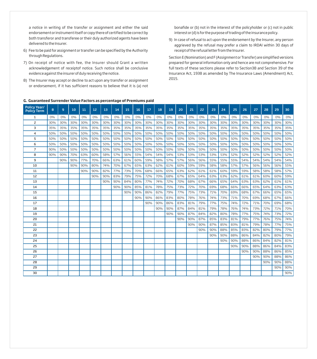a notice in writing of the transfer or assignment and either the said endorsement or instrument itself or copy there of certified to be correct by both transferor and transferee or their duly authorized agents have been delivered to the Insurer.

- 6) Fee to be paid for assignment or transfer can be specified by the Authority through Regulations.
- 7) On receipt of notice with fee, the Insurer should Grant a written acknowledgement of receiptof notice. Such notice shall be conclusive evidence against the insurer of duly receiving the notice.
- 8) The Insurer may accept or decline to act upon any transfer or assignment or endorsement, if it has sufficient reasons to believe that it is (a) not

bonafide or (b) not in the interest of the policyholder or (c) not in public interest or (d) is for the purpose of trading of the insurance policy.

9) In case of refusal to act upon the endorsement by the Insurer, any person aggrieved by the refusal may prefer a claim to IRDAI within 30 days of receipt of the refusal letter from the Insurer.

Section E (Nomination) and F (Assignment or Transfer) are simplified versions prepared for general information only and hence are not comprehensive. For full texts of these sections please refer to Section38 and Section 39 of the Insurance Act, 1938 as amended by The Insurance Laws (Amendment) Act, 2015.

## **G. Guaranteed Surrender Value Factors as percentage of Premiums paid**

| <b>Policy Year/</b><br><b>Policy Term</b> | 8   | 9   | 10    | 11  | 12  | 13  | 14  | 15  | 16  | 17  | 18  | 19  | 20  | 21  | 22    | 23  | 24    | 25  | 26  | 27    | 28    | 29    | 30    |
|-------------------------------------------|-----|-----|-------|-----|-----|-----|-----|-----|-----|-----|-----|-----|-----|-----|-------|-----|-------|-----|-----|-------|-------|-------|-------|
| 1                                         | 0%  | 0%  | $0\%$ | 0%  | 0%  | 0%  | 0%  | 0%  | 0%  | 0%  | 0%  | 0%  | 0%  | 0%  | $0\%$ | 0%  | $0\%$ | 0%  | 0%  | $0\%$ | $0\%$ | $0\%$ | $0\%$ |
| 2                                         | 30% | 30% | 30%   | 30% | 30% | 30% | 30% | 30% | 30% | 30% | 30% | 30% | 30% | 30% | 30%   | 30% | 30%   | 30% | 30% | 30%   | 30%   | 30%   | 30%   |
| 3                                         | 35% | 35% | 35%   | 35% | 35% | 35% | 35% | 35% | 35% | 35% | 35% | 35% | 35% | 35% | 35%   | 35% | 35%   | 35% | 35% | 35%   | 35%   | 35%   | 35%   |
| 4                                         | 50% | 50% | 50%   | 50% | 50% | 50% | 50% | 50% | 50% | 50% | 50% | 50% | 50% | 50% | 50%   | 50% | 50%   | 50% | 50% | 50%   | 50%   | 50%   | 50%   |
| 5                                         | 50% | 50% | 50%   | 50% | 50% | 50% | 50% | 50% | 50% | 50% | 50% | 50% | 50% | 50% | 50%   | 50% | 50%   | 50% | 50% | 50%   | 50%   | 50%   | 50%   |
| 6                                         | 50% | 50% | 50%   | 50% | 50% | 50% | 50% | 50% | 50% | 50% | 50% | 50% | 50% | 50% | 50%   | 50% | 50%   | 50% | 50% | 50%   | 50%   | 50%   | 50%   |
| 7                                         | 90% | 50% | 50%   | 50% | 50% | 50% | 50% | 50% | 50% | 50% | 50% | 50% | 50% | 50% | 50%   | 50% | 50%   | 50% | 50% | 50%   | 50%   | 50%   | 50%   |
| 8                                         | 90% | 90% | 70%   | 63% | 60% | 58% | 57% | 56% | 55% | 54% | 54% | 54% | 53% | 53% | 53%   | 53% | 53%   | 52% | 52% | 52%   | 52%   | 52%   | 52%   |
| 9                                         |     | 90% | 90%   | 77% | 70% | 66% | 63% | 61% | 60% | 59% | 58% | 57% | 57% | 56% | 56%   | 55% | 55%   | 55% | 54% | 54%   | 54%   | 54%   | 54%   |
| 10                                        |     |     | 90%   | 90% | 80% | 74% | 70% | 67% | 65% | 63% | 62% | 61% | 60% | 59% | 59%   | 58% | 58%   | 57% | 57% | 56%   | 56%   | 56%   | 55%   |
| 11                                        |     |     |       | 90% | 90% | 82% | 77% | 73% | 70% | 68% | 66% | 65% | 63% | 62% | 61%   | 61% | 60%   | 59% | 59% | 58%   | 58%   | 58%   | 57%   |
| 12                                        |     |     |       |     | 90% | 90% | 83% | 79% | 75% | 72% | 70% | 68% | 67% | 65% | 64%   | 63% | 63%   | 62% | 61% | 61%   | 60%   | 60%   | 59%   |
| 13                                        |     |     |       |     |     | 90% | 90% | 84% | 80% | 77% | 74% | 72% | 70% | 68% | 67%   | 66% | 65%   | 64% | 63% | 63%   | 62%   | 61%   | 61%   |
| 14                                        |     |     |       |     |     |     | 90% | 90% | 85% | 81% | 78% | 75% | 73% | 72% | 70%   | 69% | 68%   | 66% | 66% | 65%   | 64%   | 63%   | 63%   |
| 15                                        |     |     |       |     |     |     |     | 90% | 90% | 86% | 82% | 79% | 77% | 75% | 73%   | 71% | 70%   | 69% | 68% | 67%   | 66%   | 65%   | 65%   |
| 16                                        |     |     |       |     |     |     |     |     | 90% | 90% | 86% | 83% | 80% | 78% | 76%   | 74% | 73%   | 71% | 70% | 69%   | 68%   | 67%   | 66%   |
| 17                                        |     |     |       |     |     |     |     |     |     | 90% | 90% | 86% | 83% | 81% | 79%   | 77% | 75%   | 74% | 72% | 71%   | 70%   | 69%   | 68%   |
| 18                                        |     |     |       |     |     |     |     |     |     |     | 90% | 90% | 87% | 84% | 81%   | 79% | 78%   | 76% | 74% | 73%   | 72%   | 71%   | 70%   |
| 19                                        |     |     |       |     |     |     |     |     |     |     |     | 90% | 90% | 87% | 84%   | 82% | 80%   | 78% | 77% | 75%   | 74%   | 73%   | 72%   |
| 20                                        |     |     |       |     |     |     |     |     |     |     |     |     | 90% | 90% | 87%   | 85% | 83%   | 81% | 79% | 77%   | 76%   | 75%   | 74%   |
| 21                                        |     |     |       |     |     |     |     |     |     |     |     |     |     | 90% | 90%   | 87% | 85%   | 83% | 81% | 79%   | 78%   | 77%   | 75%   |
| 22                                        |     |     |       |     |     |     |     |     |     |     |     |     |     |     | 90%   | 90% | 88%   | 85% | 83% | 82%   | 80%   | 79%   | 77%   |
| 23                                        |     |     |       |     |     |     |     |     |     |     |     |     |     |     |       | 90% | 90%   | 88% | 86% | 84%   | 82%   | 80%   | 79%   |
| 24                                        |     |     |       |     |     |     |     |     |     |     |     |     |     |     |       |     | 90%   | 90% | 88% | 86%   | 84%   | 82%   | 81%   |
| 25                                        |     |     |       |     |     |     |     |     |     |     |     |     |     |     |       |     |       | 90% | 90% | 88%   | 86%   | 84%   | 83%   |
| 26                                        |     |     |       |     |     |     |     |     |     |     |     |     |     |     |       |     |       |     | 90% | 90%   | 88%   | 86%   | 85%   |
| 27                                        |     |     |       |     |     |     |     |     |     |     |     |     |     |     |       |     |       |     |     | 90%   | 90%   | 88%   | 86%   |
| 28                                        |     |     |       |     |     |     |     |     |     |     |     |     |     |     |       |     |       |     |     |       | 90%   | 90%   | 88%   |
| 29                                        |     |     |       |     |     |     |     |     |     |     |     |     |     |     |       |     |       |     |     |       |       | 90%   | 90%   |
| 30                                        |     |     |       |     |     |     |     |     |     |     |     |     |     |     |       |     |       |     |     |       |       |       | 90%   |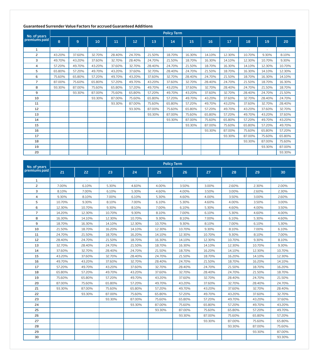## **Guaranteed Surrender Value Factors for accrued Guaranteed Additions**

|                               |        | <b>Policy Term</b> |        |        |        |        |        |        |        |        |        |        |        |  |  |
|-------------------------------|--------|--------------------|--------|--------|--------|--------|--------|--------|--------|--------|--------|--------|--------|--|--|
| No. of years<br>premiums paid | 8      | 9                  | 10     | 11     | 12     | 13     | 14     | 15     | 16     | 17     | 18     | 19     | 20     |  |  |
| 1                             |        |                    |        |        |        |        | ٠      |        | ٠      |        |        |        |        |  |  |
| $\overline{c}$                | 43.20% | 37.60%             | 32.70% | 28.40% | 24.70% | 21.50% | 18.70% | 16.30% | 14.10% | 12.30% | 10.70% | 9.30%  | 8.10%  |  |  |
| $\overline{\mathbf{3}}$       | 49.70% | 43.20%             | 37.60% | 32.70% | 28.40% | 24.70% | 21.50% | 18.70% | 16.30% | 14.10% | 12.30% | 10.70% | 9.30%  |  |  |
| 4                             | 57.20% | 49.70%             | 43.20% | 37.60% | 32.70% | 28.40% | 24.70% | 21.50% | 18.70% | 16.30% | 14.10% | 12.30% | 10.70% |  |  |
| 5                             | 65.80% | 57.20%             | 49.70% | 43.20% | 37.60% | 32.70% | 28.40% | 24.70% | 21.50% | 18.70% | 16.30% | 14.10% | 12.30% |  |  |
| 6                             | 75.60% | 65.80%             | 57.20% | 49.70% | 43.20% | 37.60% | 32.70% | 28.40% | 24.70% | 21.50% | 18.70% | 16.30% | 14.10% |  |  |
| $\overline{7}$                | 87.00% | 75.60%             | 65.80% | 57.20% | 49.70% | 43.20% | 37.60% | 32.70% | 28.40% | 24.70% | 21.50% | 18.70% | 16.30% |  |  |
| 8                             | 93.30% | 87.00%             | 75.60% | 65.80% | 57.20% | 49.70% | 43.20% | 37.60% | 32.70% | 28.40% | 24.70% | 21.50% | 18.70% |  |  |
| 9                             |        | 93.30%             | 87.00% | 75.60% | 65.80% | 57.20% | 49.70% | 43.20% | 37.60% | 32.70% | 28.40% | 24.70% | 21.50% |  |  |
| 10                            |        |                    | 93.30% | 87.00% | 75.60% | 65.80% | 57.20% | 49.70% | 43.20% | 37.60% | 32.70% | 28.40% | 24.70% |  |  |
| 11                            |        |                    |        | 93.30% | 87.00% | 75.60% | 65.80% | 57.20% | 49.70% | 43.20% | 37.60% | 32.70% | 28.40% |  |  |
| 12                            |        |                    |        |        | 93.30% | 87.00% | 75.60% | 65.80% | 57.20% | 49.70% | 43.20% | 37.60% | 32.70% |  |  |
| 13                            |        |                    |        |        |        | 93.30% | 87.00% | 75.60% | 65.80% | 57.20% | 49.70% | 43.20% | 37.60% |  |  |
| 14                            |        |                    |        |        |        |        | 93.30% | 87.00% | 75.60% | 65.80% | 57.20% | 49.70% | 43.20% |  |  |
| 15                            |        |                    |        |        |        |        |        | 93.30% | 87.00% | 75.60% | 65.80% | 57.20% | 49.70% |  |  |
| 16                            |        |                    |        |        |        |        |        |        | 93.30% | 87.00% | 75.60% | 65.80% | 57.20% |  |  |
| 17                            |        |                    |        |        |        |        |        |        |        | 93.30% | 87.00% | 75.60% | 65.80% |  |  |
| 18                            |        |                    |        |        |        |        |        |        |        |        | 93.30% | 87.00% | 75.60% |  |  |
| 19                            |        |                    |        |        |        |        |        |        |        |        |        | 93.30% | 87.00% |  |  |
| 20                            |        |                    |        |        |        |        |        |        |        |        |        |        | 93.30% |  |  |

| No. of years   | <b>Policy Term</b> |        |        |        |        |        |        |        |        |        |  |  |  |  |
|----------------|--------------------|--------|--------|--------|--------|--------|--------|--------|--------|--------|--|--|--|--|
| premiums paid  | 21                 | 22     | 23     | 24     | 25     | 26     | 27     | 28     | 29     | 30     |  |  |  |  |
| 1              |                    |        |        |        |        |        |        |        |        |        |  |  |  |  |
| $\overline{c}$ | 7.00%              | 6.10%  | 5.30%  | 4.60%  | 4.00%  | 3.50%  | 3.00%  | 2.60%  | 2.30%  | 2.00%  |  |  |  |  |
| 3              | 8.10%              | 7.00%  | 6.10%  | 5.30%  | 4.60%  | 4.00%  | 3.50%  | 3.00%  | 2.60%  | 2.30%  |  |  |  |  |
| 4              | 9.30%              | 8.10%  | 7.00%  | 6.10%  | 5.30%  | 4.60%  | 4.00%  | 3.50%  | 3.00%  | 2.60%  |  |  |  |  |
| 5              | 10.70%             | 9.30%  | 8.10%  | 7.00%  | 6.10%  | 5.30%  | 4.60%  | 4.00%  | 3.50%  | 3.00%  |  |  |  |  |
| 6              | 12.30%             | 10.70% | 9.30%  | 8.10%  | 7.00%  | 6.10%  | 5.30%  | 4.60%  | 4.00%  | 3.50%  |  |  |  |  |
| $\overline{7}$ | 14.20%             | 12.30% | 10.70% | 9.30%  | 8.10%  | 7.00%  | 6.10%  | 5.30%  | 4.60%  | 4.00%  |  |  |  |  |
| 8              | 16.30%             | 14.10% | 12.30% | 10.70% | 9.30%  | 8.10%  | 7.00%  | 6.10%  | 5.30%  | 4.60%  |  |  |  |  |
| 9              | 18.70%             | 16.30% | 14.10% | 12.30% | 10.70% | 9.30%  | 8.10%  | 7.00%  | 6.10%  | 5.30%  |  |  |  |  |
| 10             | 21.50%             | 18.70% | 16.20% | 14.10% | 12.30% | 10.70% | 9.30%  | 8.10%  | 7.00%  | 6.10%  |  |  |  |  |
| 11             | 24.70%             | 21.50% | 18.70% | 16.20% | 14.10% | 12.30% | 10.70% | 9.30%  | 8.10%  | 7.00%  |  |  |  |  |
| 12             | 28.40%             | 24.70% | 21.50% | 18.70% | 16.30% | 14.10% | 12.30% | 10.70% | 9.30%  | 8.10%  |  |  |  |  |
| 13             | 32.70%             | 28.40% | 24.70% | 21.50% | 18.70% | 16.30% | 14.10% | 12.30% | 10.70% | 9.30%  |  |  |  |  |
| 14             | 37.60%             | 32.70% | 28.40% | 24.70% | 21.50% | 18.70% | 16.20% | 14.10% | 12.30% | 10.70% |  |  |  |  |
| 15             | 43.20%             | 37.60% | 32.70% | 28.40% | 24.70% | 21.50% | 18.70% | 16.20% | 14.10% | 12.30% |  |  |  |  |
| 16             | 49.70%             | 43.20% | 37.60% | 32.70% | 28.40% | 24.70% | 21.50% | 18.70% | 16.20% | 14.10% |  |  |  |  |
| 17             | 57.20%             | 49.70% | 43.20% | 37.60% | 32.70% | 28.40% | 24.70% | 21.50% | 18.70% | 16.20% |  |  |  |  |
| 18             | 65.80%             | 57.20% | 49.70% | 43.20% | 37.60% | 32.70% | 28.40% | 24.70% | 21.50% | 18.70% |  |  |  |  |
| 19             | 75.60%             | 65.80% | 57.20% | 49.70% | 43.20% | 37.60% | 32.70% | 28.40% | 24.70% | 21.50% |  |  |  |  |
| 20             | 87.00%             | 75.60% | 65.80% | 57.20% | 49.70% | 43.20% | 37.60% | 32.70% | 28.40% | 24.70% |  |  |  |  |
| 21             | 93.30%             | 87.00% | 75.60% | 65.80% | 57.20% | 49.70% | 43.20% | 37.60% | 32.70% | 28.40% |  |  |  |  |
| 22             |                    | 93.30% | 87.00% | 75.60% | 65.80% | 57.20% | 49.70% | 43.20% | 37.60% | 32.70% |  |  |  |  |
| 23             |                    |        | 93.30% | 87.00% | 75.60% | 65.80% | 57.20% | 49.70% | 43.20% | 37.60% |  |  |  |  |
| 24             |                    |        |        | 93.30% | 87.00% | 75.60% | 65.80% | 57.20% | 49.70% | 43.20% |  |  |  |  |
| 25             |                    |        |        |        | 93.30% | 87.00% | 75.60% | 65.80% | 57.20% | 49.70% |  |  |  |  |
| 26             |                    |        |        |        |        | 93.30% | 87.00% | 75.60% | 65.80% | 57.20% |  |  |  |  |
| 27             |                    |        |        |        |        |        | 93.30% | 87.00% | 75.60% | 65.80% |  |  |  |  |
| 28             |                    |        |        |        |        |        |        | 93.30% | 87.00% | 75.60% |  |  |  |  |
| 29             |                    |        |        |        |        |        |        |        | 93.30% | 87.00% |  |  |  |  |
| 30             |                    |        |        |        |        |        |        |        |        | 93.30% |  |  |  |  |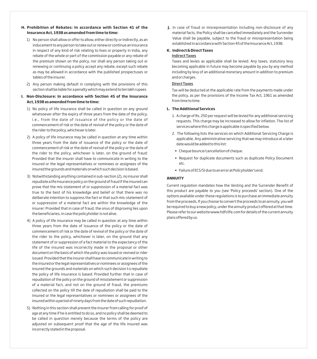## **H. Prohibition of Rebates: In accordance with Section 41 of the Insurance Act, 1938 as amended from time to time:**

- 1) No person shall allow or offer to allow, either directly or indirectly, as an inducement to any person to take out or renew or continue an insurance in respect of any kind of risk relating to lives or property in India, any rebate of the whole or part of the commission payable or any rebate of the premium shown on the policy, nor shall any person taking out or renewing or continuing a policy accept any rebate, except such rebate as may be allowed in accordance with the published prospectuses or tables of the insurer.
- 2) Any person making default in complying with the provisions of this section shall be liable for a penalty which may extend to ten lakh rupees

## **I. Non-Disclosure: In accordance with Section 45 of the Insurance Act, 1938 as amended from time to time:**

- 1) No policy of life insurance shall be called in question on any ground whatsoever after the expiry of three years from the date of the policy, i.e., from the date of issuance of the policy or the date of commencement of risk or the date of revival of the policy or the date of the rider to the policy, whichever is later.
- 2) A policy of life insurance may be called in question at any time within three years from the date of issuance of the policy or the date of commencement of risk or the date of revival of the policy or the date of the rider to the policy, whichever is later, on the ground of fraud: Provided that the insurer shall have to communicate in writing to the insured or the legal representatives or nominees or assignees of the insured the grounds and materials on which such decision is based.
- 3) Notwithstanding anything contained in sub-section (2), no insurer shall repudiate a life insurance policy on the ground of fraud if the insured can prove that the mis-statement of or suppression of a material fact was true to the best of his knowledge and belief or that there was no deliberate intention to suppress the fact or that such mis-statement of or suppression of a material fact are within the knowledge of the insurer: Provided that in case of fraud, the onus of disproving lies upon the beneficiaries, in case the policyholder is not alive.
- 4) A policy of life insurance may be called in question at any time within three years from the date of issuance of the policy or the date of commencement of risk or the date of revival of the policy or the date of the rider to the policy, whichever is later, on the ground that any statement of or suppression of a fact material to the expectancy of the life of the insured was incorrectly made in the proposal or other document on the basis of which the policy was issued or revived or rider issued: Provided that the insurer shall have to communicate in writing to the insured or the legal representatives or nominees or assignees of the insured the grounds and materials on which such decision to repudiate the policy of life insurance is based: Provided further that in case of repudiation of the policy on the ground of misstatement or suppression of a material fact, and not on the ground of fraud, the premiums collected on the policy till the date of repudiation shall be paid to the insured or the legal representatives or nominees or assignees of the insured within a period of ninety days from the date of such repudiation.
- 5) Nothing in this section shall prevent the insurer from calling for proof of age at any time if he is entitled to do so, and no policy shall be deemed to be called in question merely because the terms of the policy are adjusted on subsequent proof that the age of the life insured was incorrectly stated in the proposal.

**J.** In case of fraud or misrepresentation including non-disclosure of any material facts, the Policy shall be cancelled immediately and the Surrender Value shall be payable, subject to the fraud or misrepresentation being established in accordance with Section 45 of the Insurance Act, 1938.

## **K. Indirect & Direct Taxes** Indirect Taxes

Taxes and levies as applicable shall be levied. Any taxes, statutory levy becoming applicable in future may become payable by you by any method including by levy of an additional monetary amount in addition to premium and or charges.

# Direct Taxes

Tax will be deducted at the applicable rate from the payments made under the policy, as per the provisions of the Income Tax Act, 1961 as amended from time to time.

# **L. The Additional Services**

- 1. A charge of Rs. 250 per request will be levied for any additional servicing requests. This charge may be increased to allow for inflation. The list of services where this charge is applicable is specified below.
- 2. The following lists the services on which Additional Servicing Charge is applicable. Any administrative servicing that we may introduce at a later date would be added to this list:
- Cheque bounce/cancellation of cheque.
- Request for duplicate documents such as duplicate Policy Document etc.
- Failure of ECS/SI due to an error at Policyholder's end.

## **ANNUITY**

Current regulation mandates how the Vesting and the Surrender Benefit of this product are payable to you (see 'Policy proceeds' section). One of the options available under these regulations is to purchase an immediate annuity from the proceeds. If you choose to convert the proceeds to an annuity, you will be required to buy a new policy, under the annuity product offered at that time. Please refer to our website www.hdfclife.com for details of the current annuity plans offered by us.